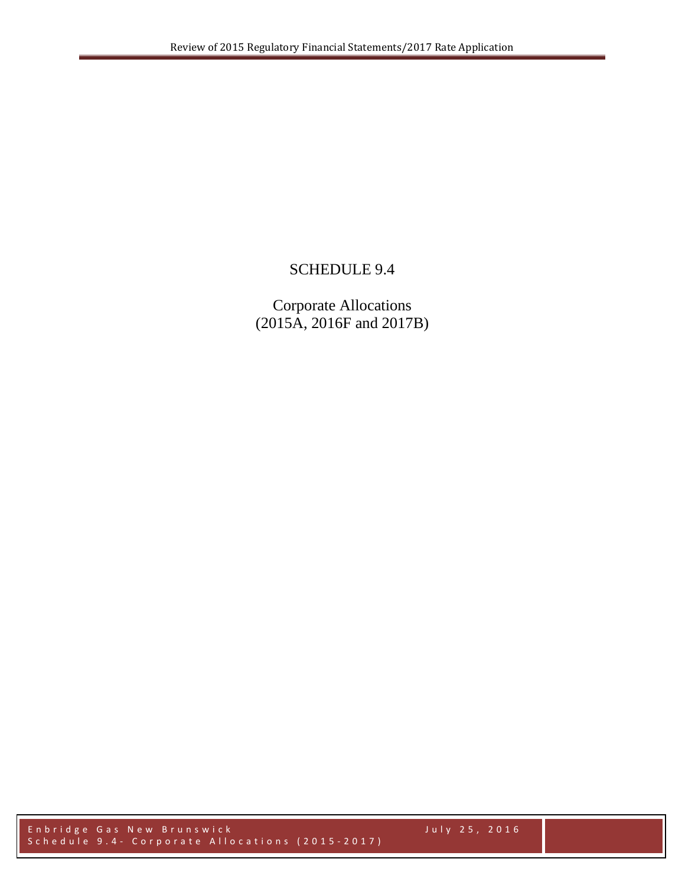## SCHEDULE 9.4

Corporate Allocations (2015A, 2016F and 2017B)

Enbridge Gas New Brunswick July 2 5 , 2016 Schedule 9.4 - Corporate Allocations (2015-2017)